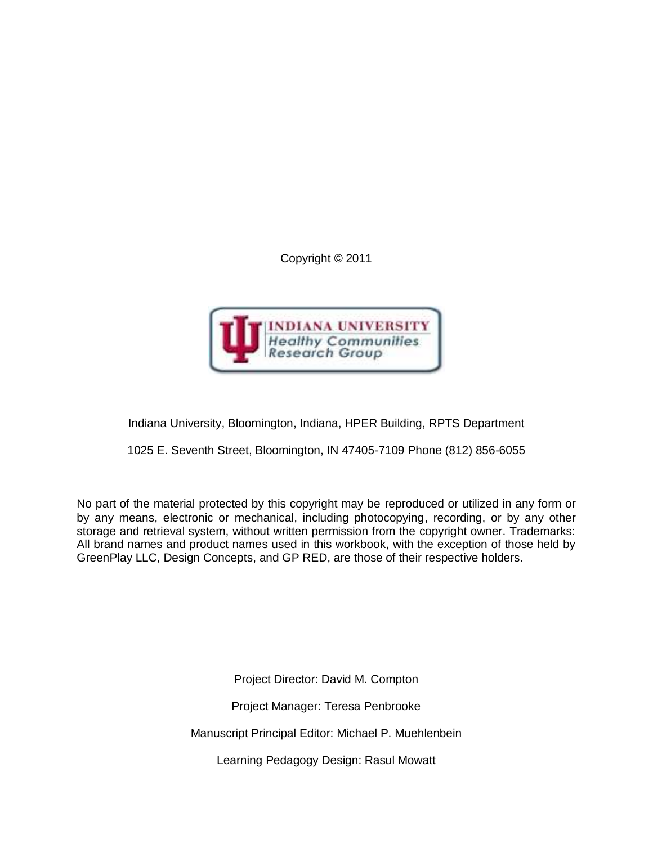Copyright © 2011



Indiana University, Bloomington, Indiana, HPER Building, RPTS Department

1025 E. Seventh Street, Bloomington, IN 47405-7109 Phone (812) 856-6055

No part of the material protected by this copyright may be reproduced or utilized in any form or by any means, electronic or mechanical, including photocopying, recording, or by any other storage and retrieval system, without written permission from the copyright owner. Trademarks: All brand names and product names used in this workbook, with the exception of those held by GreenPlay LLC, Design Concepts, and GP RED, are those of their respective holders.

> Project Director: David M. Compton Project Manager: Teresa Penbrooke Manuscript Principal Editor: Michael P. Muehlenbein Learning Pedagogy Design: Rasul Mowatt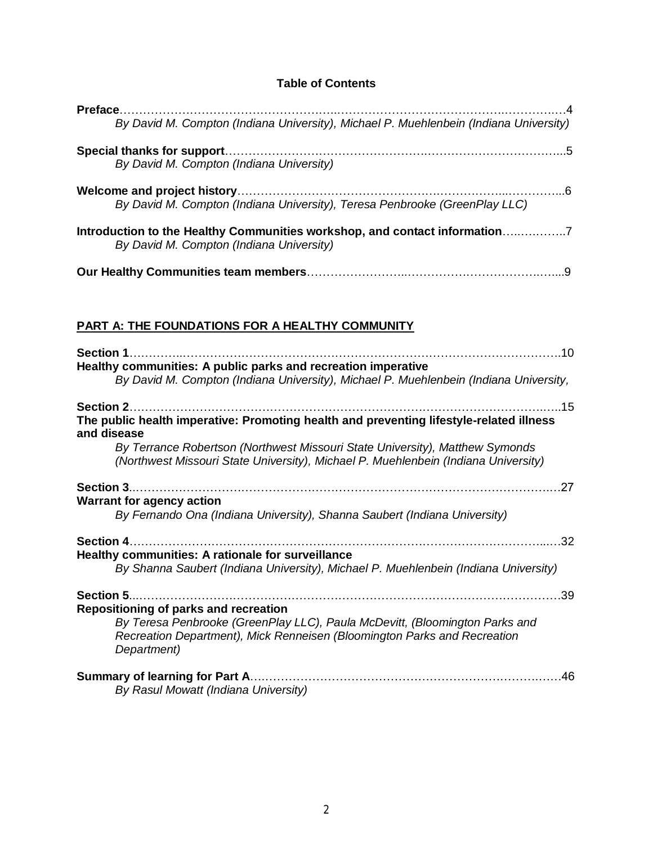## **Table of Contents**

| By David M. Compton (Indiana University), Michael P. Muehlenbein (Indiana University) |
|---------------------------------------------------------------------------------------|
|                                                                                       |
| By David M. Compton (Indiana University)                                              |
|                                                                                       |
| By David M. Compton (Indiana University), Teresa Penbrooke (GreenPlay LLC)            |
| Introduction to the Healthy Communities workshop, and contact information7            |
| By David M. Compton (Indiana University)                                              |
|                                                                                       |
|                                                                                       |
|                                                                                       |

# **PART A: THE FOUNDATIONS FOR A HEALTHY COMMUNITY**

| <b>Section 1</b><br>.10                                                                                                                                                                                                     |
|-----------------------------------------------------------------------------------------------------------------------------------------------------------------------------------------------------------------------------|
| Healthy communities: A public parks and recreation imperative<br>By David M. Compton (Indiana University), Michael P. Muehlenbein (Indiana University,                                                                      |
| <b>Section 2</b><br>.15<br>The public health imperative: Promoting health and preventing lifestyle-related illness<br>and disease                                                                                           |
| By Terrance Robertson (Northwest Missouri State University), Matthew Symonds<br>(Northwest Missouri State University), Michael P. Muehlenbein (Indiana University)                                                          |
| .27<br><b>Warrant for agency action</b><br>By Fernando Ona (Indiana University), Shanna Saubert (Indiana University)                                                                                                        |
| .32                                                                                                                                                                                                                         |
| Healthy communities: A rationale for surveillance<br>By Shanna Saubert (Indiana University), Michael P. Muehlenbein (Indiana University)                                                                                    |
| <b>Section 5</b><br>.39<br>Repositioning of parks and recreation<br>By Teresa Penbrooke (GreenPlay LLC), Paula McDevitt, (Bloomington Parks and<br>Recreation Department), Mick Renneisen (Bloomington Parks and Recreation |
| Department)<br>Summary of learning for Part A.<br>.46<br>By Rasul Mowatt (Indiana University)                                                                                                                               |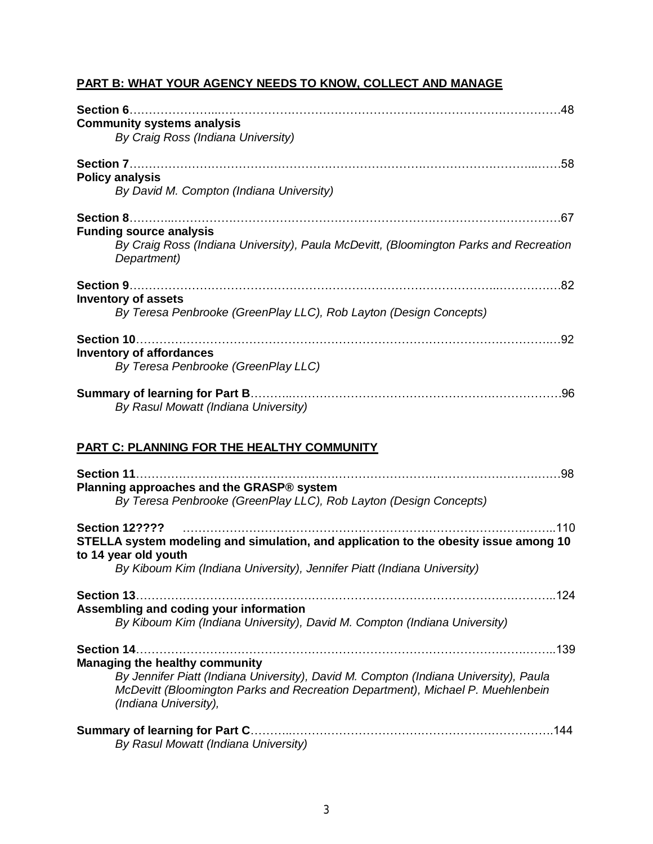# **PART B: WHAT YOUR AGENCY NEEDS TO KNOW, COLLECT AND MANAGE**

| <b>Community systems analysis</b><br>By Craig Ross (Indiana University)                                                                |     |
|----------------------------------------------------------------------------------------------------------------------------------------|-----|
| <b>Policy analysis</b><br>By David M. Compton (Indiana University)                                                                     |     |
|                                                                                                                                        |     |
| <b>Funding source analysis</b><br>By Craig Ross (Indiana University), Paula McDevitt, (Bloomington Parks and Recreation<br>Department) |     |
| <b>Inventory of assets</b><br>By Teresa Penbrooke (GreenPlay LLC), Rob Layton (Design Concepts)                                        | .82 |
| Section 10<br><b>Inventory of affordances</b><br>By Teresa Penbrooke (GreenPlay LLC)                                                   | .92 |
| By Rasul Mowatt (Indiana University)                                                                                                   |     |

## **PART C: PLANNING FOR THE HEALTHY COMMUNITY**

| Planning approaches and the GRASP® system<br>By Teresa Penbrooke (GreenPlay LLC), Rob Layton (Design Concepts)                                                                                  |
|-------------------------------------------------------------------------------------------------------------------------------------------------------------------------------------------------|
| 110<br><b>Section 12????</b><br>STELLA system modeling and simulation, and application to the obesity issue among 10<br>to 14 year old youth                                                    |
| By Kiboum Kim (Indiana University), Jennifer Piatt (Indiana University)                                                                                                                         |
|                                                                                                                                                                                                 |
| Assembling and coding your information                                                                                                                                                          |
| By Kiboum Kim (Indiana University), David M. Compton (Indiana University)                                                                                                                       |
| 139                                                                                                                                                                                             |
| <b>Managing the healthy community</b>                                                                                                                                                           |
| By Jennifer Piatt (Indiana University), David M. Compton (Indiana University), Paula<br>McDevitt (Bloomington Parks and Recreation Department), Michael P. Muehlenbein<br>(Indiana University), |
| <b>Summary of learning for Part C.</b><br>By Rasul Mowatt (Indiana University)                                                                                                                  |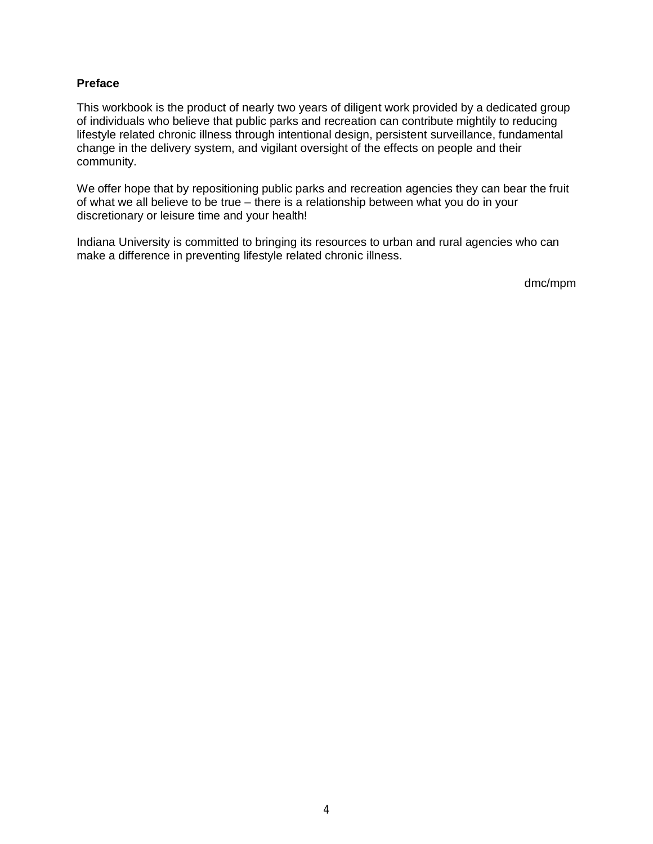## **Preface**

This workbook is the product of nearly two years of diligent work provided by a dedicated group of individuals who believe that public parks and recreation can contribute mightily to reducing lifestyle related chronic illness through intentional design, persistent surveillance, fundamental change in the delivery system, and vigilant oversight of the effects on people and their community.

We offer hope that by repositioning public parks and recreation agencies they can bear the fruit of what we all believe to be true – there is a relationship between what you do in your discretionary or leisure time and your health!

Indiana University is committed to bringing its resources to urban and rural agencies who can make a difference in preventing lifestyle related chronic illness.

dmc/mpm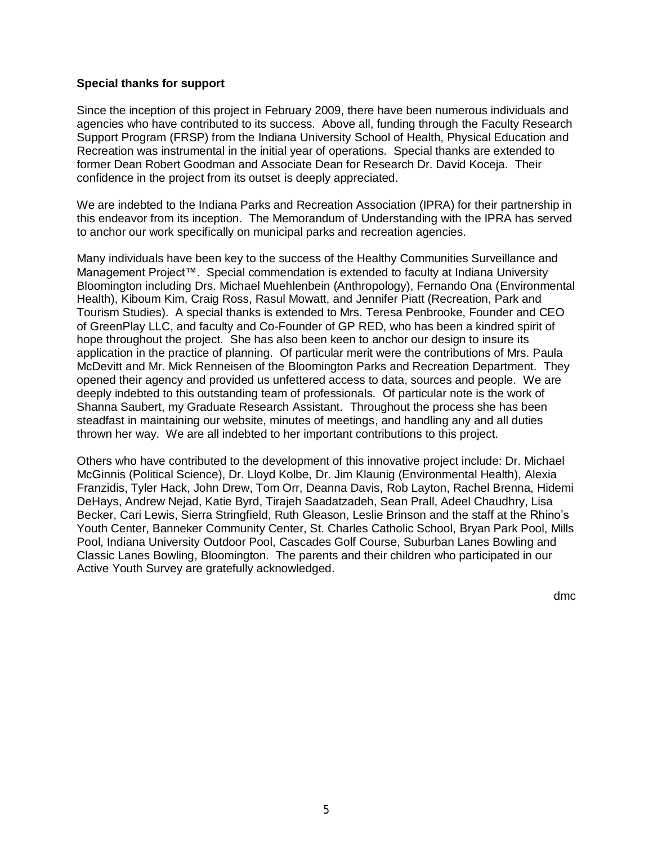#### **Special thanks for support**

Since the inception of this project in February 2009, there have been numerous individuals and agencies who have contributed to its success. Above all, funding through the Faculty Research Support Program (FRSP) from the Indiana University School of Health, Physical Education and Recreation was instrumental in the initial year of operations. Special thanks are extended to former Dean Robert Goodman and Associate Dean for Research Dr. David Koceja. Their confidence in the project from its outset is deeply appreciated.

We are indebted to the Indiana Parks and Recreation Association (IPRA) for their partnership in this endeavor from its inception. The Memorandum of Understanding with the IPRA has served to anchor our work specifically on municipal parks and recreation agencies.

Many individuals have been key to the success of the Healthy Communities Surveillance and Management Project™. Special commendation is extended to faculty at Indiana University Bloomington including Drs. Michael Muehlenbein (Anthropology), Fernando Ona (Environmental Health), Kiboum Kim, Craig Ross, Rasul Mowatt, and Jennifer Piatt (Recreation, Park and Tourism Studies). A special thanks is extended to Mrs. Teresa Penbrooke, Founder and CEO of GreenPlay LLC, and faculty and Co-Founder of GP RED, who has been a kindred spirit of hope throughout the project. She has also been keen to anchor our design to insure its application in the practice of planning. Of particular merit were the contributions of Mrs. Paula McDevitt and Mr. Mick Renneisen of the Bloomington Parks and Recreation Department. They opened their agency and provided us unfettered access to data, sources and people. We are deeply indebted to this outstanding team of professionals. Of particular note is the work of Shanna Saubert, my Graduate Research Assistant. Throughout the process she has been steadfast in maintaining our website, minutes of meetings, and handling any and all duties thrown her way. We are all indebted to her important contributions to this project.

Others who have contributed to the development of this innovative project include: Dr. Michael McGinnis (Political Science), Dr. Lloyd Kolbe, Dr. Jim Klaunig (Environmental Health), Alexia Franzidis, Tyler Hack, John Drew, Tom Orr, Deanna Davis, Rob Layton, Rachel Brenna, Hidemi DeHays, Andrew Nejad, Katie Byrd, Tirajeh Saadatzadeh, Sean Prall, Adeel Chaudhry, Lisa Becker, Cari Lewis, Sierra Stringfield, Ruth Gleason, Leslie Brinson and the staff at the Rhino's Youth Center, Banneker Community Center, St. Charles Catholic School, Bryan Park Pool, Mills Pool, Indiana University Outdoor Pool, Cascades Golf Course, Suburban Lanes Bowling and Classic Lanes Bowling, Bloomington. The parents and their children who participated in our Active Youth Survey are gratefully acknowledged.

dmc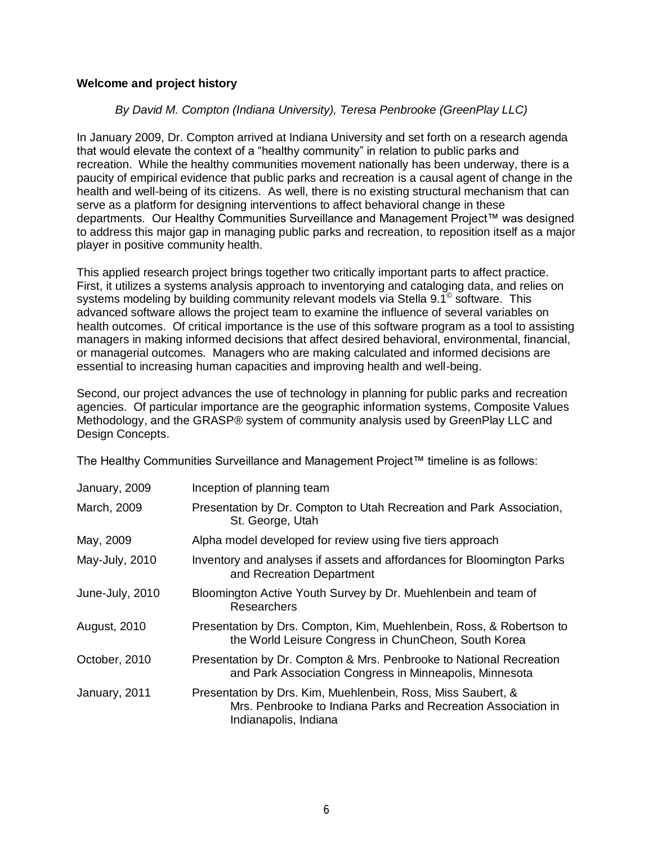## **Welcome and project history**

## *By David M. Compton (Indiana University), Teresa Penbrooke (GreenPlay LLC)*

In January 2009, Dr. Compton arrived at Indiana University and set forth on a research agenda that would elevate the context of a "healthy community" in relation to public parks and recreation. While the healthy communities movement nationally has been underway, there is a paucity of empirical evidence that public parks and recreation is a causal agent of change in the health and well-being of its citizens. As well, there is no existing structural mechanism that can serve as a platform for designing interventions to affect behavioral change in these departments. Our Healthy Communities Surveillance and Management Project™ was designed to address this major gap in managing public parks and recreation, to reposition itself as a major player in positive community health.

This applied research project brings together two critically important parts to affect practice. First, it utilizes a systems analysis approach to inventorying and cataloging data, and relies on systems modeling by building community relevant models via Stella 9.1 $^{\circ}$  software. This advanced software allows the project team to examine the influence of several variables on health outcomes. Of critical importance is the use of this software program as a tool to assisting managers in making informed decisions that affect desired behavioral, environmental, financial, or managerial outcomes. Managers who are making calculated and informed decisions are essential to increasing human capacities and improving health and well-being.

Second, our project advances the use of technology in planning for public parks and recreation agencies. Of particular importance are the geographic information systems, Composite Values Methodology, and the GRASP® system of community analysis used by GreenPlay LLC and Design Concepts.

The Healthy Communities Surveillance and Management Project™ timeline is as follows:

| January, 2009       | Inception of planning team                                                                                                                             |
|---------------------|--------------------------------------------------------------------------------------------------------------------------------------------------------|
| March, 2009         | Presentation by Dr. Compton to Utah Recreation and Park Association,<br>St. George, Utah                                                               |
| May, 2009           | Alpha model developed for review using five tiers approach                                                                                             |
| May-July, 2010      | Inventory and analyses if assets and affordances for Bloomington Parks<br>and Recreation Department                                                    |
| June-July, 2010     | Bloomington Active Youth Survey by Dr. Muehlenbein and team of<br>Researchers                                                                          |
| <b>August, 2010</b> | Presentation by Drs. Compton, Kim, Muehlenbein, Ross, & Robertson to<br>the World Leisure Congress in ChunCheon, South Korea                           |
| October, 2010       | Presentation by Dr. Compton & Mrs. Penbrooke to National Recreation<br>and Park Association Congress in Minneapolis, Minnesota                         |
| January, 2011       | Presentation by Drs. Kim, Muehlenbein, Ross, Miss Saubert, &<br>Mrs. Penbrooke to Indiana Parks and Recreation Association in<br>Indianapolis, Indiana |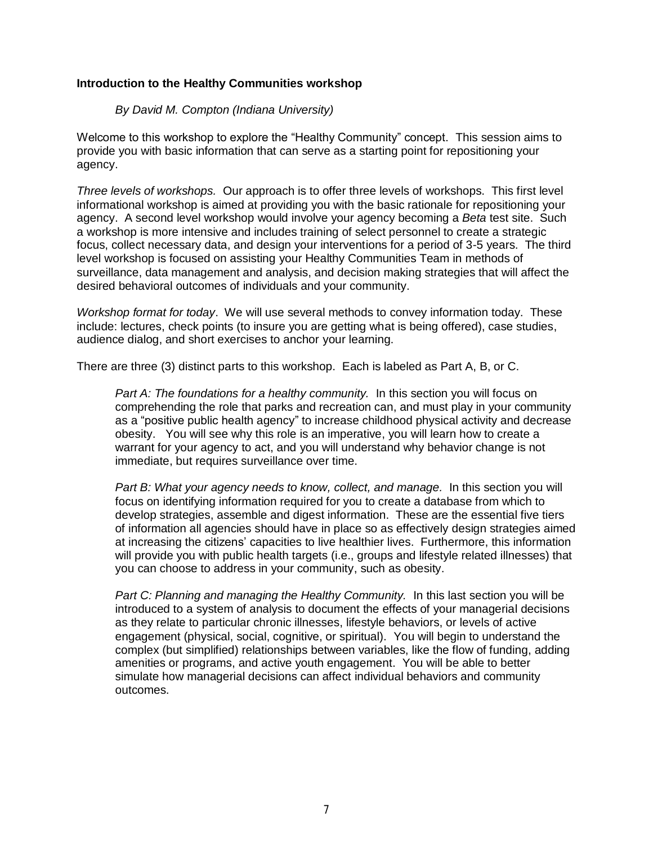## **Introduction to the Healthy Communities workshop**

### *By David M. Compton (Indiana University)*

Welcome to this workshop to explore the "Healthy Community" concept. This session aims to provide you with basic information that can serve as a starting point for repositioning your agency.

*Three levels of workshops.* Our approach is to offer three levels of workshops. This first level informational workshop is aimed at providing you with the basic rationale for repositioning your agency. A second level workshop would involve your agency becoming a *Beta* test site. Such a workshop is more intensive and includes training of select personnel to create a strategic focus, collect necessary data, and design your interventions for a period of 3-5 years. The third level workshop is focused on assisting your Healthy Communities Team in methods of surveillance, data management and analysis, and decision making strategies that will affect the desired behavioral outcomes of individuals and your community.

*Workshop format for today*. We will use several methods to convey information today. These include: lectures, check points (to insure you are getting what is being offered), case studies, audience dialog, and short exercises to anchor your learning.

There are three (3) distinct parts to this workshop. Each is labeled as Part A, B, or C.

*Part A: The foundations for a healthy community.* In this section you will focus on comprehending the role that parks and recreation can, and must play in your community as a "positive public health agency" to increase childhood physical activity and decrease obesity. You will see why this role is an imperative, you will learn how to create a warrant for your agency to act, and you will understand why behavior change is not immediate, but requires surveillance over time.

*Part B: What your agency needs to know, collect, and manage.* In this section you will focus on identifying information required for you to create a database from which to develop strategies, assemble and digest information. These are the essential five tiers of information all agencies should have in place so as effectively design strategies aimed at increasing the citizens' capacities to live healthier lives. Furthermore, this information will provide you with public health targets (i.e., groups and lifestyle related illnesses) that you can choose to address in your community, such as obesity.

*Part C: Planning and managing the Healthy Community.* In this last section you will be introduced to a system of analysis to document the effects of your managerial decisions as they relate to particular chronic illnesses, lifestyle behaviors, or levels of active engagement (physical, social, cognitive, or spiritual). You will begin to understand the complex (but simplified) relationships between variables, like the flow of funding, adding amenities or programs, and active youth engagement. You will be able to better simulate how managerial decisions can affect individual behaviors and community outcomes.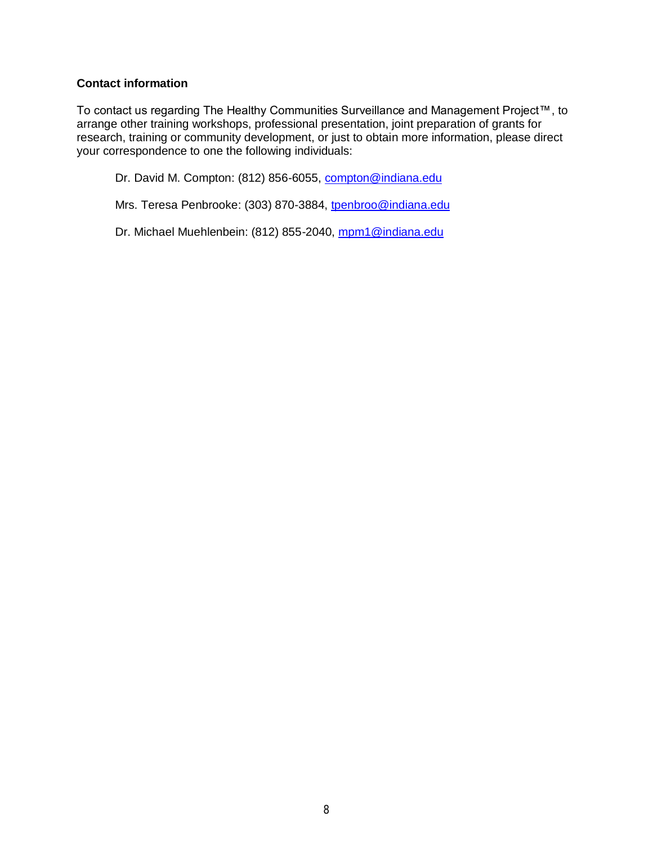## **Contact information**

To contact us regarding The Healthy Communities Surveillance and Management Project™, to arrange other training workshops, professional presentation, joint preparation of grants for research, training or community development, or just to obtain more information, please direct your correspondence to one the following individuals:

Dr. David M. Compton: (812) 856-6055, [compton@indiana.edu](mailto:compton@indiana.edu)

Mrs. Teresa Penbrooke: (303) 870-3884, [tpenbroo@indiana.edu](mailto:tpenbroo@indiana.edu)

Dr. Michael Muehlenbein: (812) 855-2040, [mpm1@indiana.edu](mailto:mpm1@indiana.edu)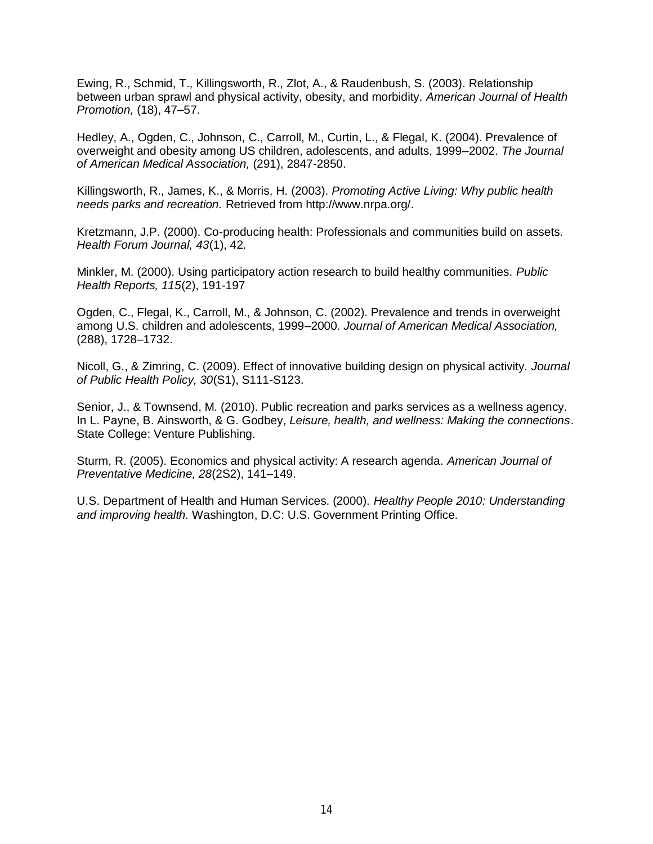Ewing, R., Schmid, T., Killingsworth, R., Zlot, A., & Raudenbush, S. (2003). Relationship between urban sprawl and physical activity, obesity, and morbidity. *American Journal of Health Promotion,* (18), 47–57.

Hedley, A., Ogden, C., Johnson, C., Carroll, M., Curtin, L., & Flegal, K. (2004). Prevalence of overweight and obesity among US children, adolescents, and adults, 1999–2002. *The Journal of American Medical Association,* (291), 2847-2850.

Killingsworth, R., James, K., & Morris, H. (2003). *Promoting Active Living: Why public health needs parks and recreation.* Retrieved from http://www.nrpa.org/.

Kretzmann, J.P. (2000). Co-producing health: Professionals and communities build on assets. *Health Forum Journal, 43*(1), 42.

Minkler, M. (2000). Using participatory action research to build healthy communities. *Public Health Reports, 115*(2), 191-197

Ogden, C., Flegal, K., Carroll, M., & Johnson, C. (2002). Prevalence and trends in overweight among U.S. children and adolescents, 1999–2000. *Journal of American Medical Association,*  (288), 1728–1732.

Nicoll, G., & Zimring, C. (2009). Effect of innovative building design on physical activity. *Journal of Public Health Policy, 30*(S1), S111-S123.

Senior, J., & Townsend, M. (2010). Public recreation and parks services as a wellness agency. In L. Payne, B. Ainsworth, & G. Godbey, *Leisure, health, and wellness: Making the connections*. State College: Venture Publishing.

Sturm, R. (2005). Economics and physical activity: A research agenda. *American Journal of Preventative Medicine, 28*(2S2), 141–149.

U.S. Department of Health and Human Services. (2000). *Healthy People 2010: Understanding and improving health.* Washington, D.C: U.S. Government Printing Office.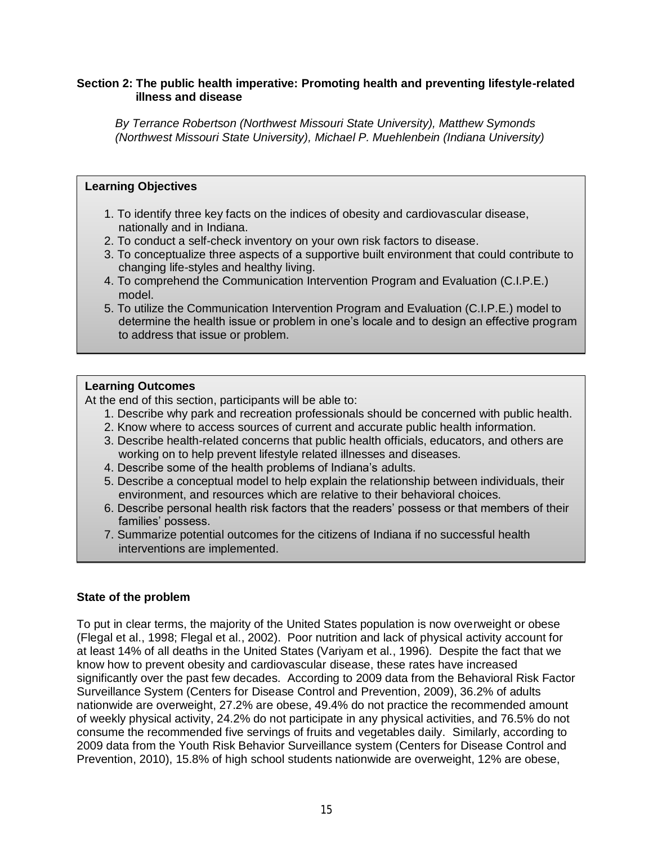## **Section 2: The public health imperative: Promoting health and preventing lifestyle-related illness and disease**

*By Terrance Robertson (Northwest Missouri State University), Matthew Symonds (Northwest Missouri State University), Michael P. Muehlenbein (Indiana University)*

#### **Learning Objectives**

- 1. To identify three key facts on the indices of obesity and cardiovascular disease, nationally and in Indiana.
- 2. To conduct a self-check inventory on your own risk factors to disease.
- 3. To conceptualize three aspects of a supportive built environment that could contribute to changing life-styles and healthy living.
- 4. To comprehend the Communication Intervention Program and Evaluation (C.I.P.E.) model.
- 5. To utilize the Communication Intervention Program and Evaluation (C.I.P.E.) model to determine the health issue or problem in one's locale and to design an effective program to address that issue or problem.

## **Learning Outcomes**

At the end of this section, participants will be able to:

- 1. Describe why park and recreation professionals should be concerned with public health.
- 2. Know where to access sources of current and accurate public health information.
- 3. Describe health-related concerns that public health officials, educators, and others are working on to help prevent lifestyle related illnesses and diseases.
- 4. Describe some of the health problems of Indiana's adults.
- 5. Describe a conceptual model to help explain the relationship between individuals, their environment, and resources which are relative to their behavioral choices.
- 6. Describe personal health risk factors that the readers' possess or that members of their families' possess.
- 7. Summarize potential outcomes for the citizens of Indiana if no successful health interventions are implemented.

## **State of the problem**

To put in clear terms, the majority of the United States population is now overweight or obese (Flegal et al., 1998; Flegal et al., 2002). Poor nutrition and lack of physical activity account for at least 14% of all deaths in the United States (Variyam et al., 1996). Despite the fact that we know how to prevent obesity and cardiovascular disease, these rates have increased significantly over the past few decades. According to 2009 data from the Behavioral Risk Factor Surveillance System (Centers for Disease Control and Prevention, 2009), 36.2% of adults nationwide are overweight, 27.2% are obese, 49.4% do not practice the recommended amount of weekly physical activity, 24.2% do not participate in any physical activities, and 76.5% do not consume the recommended five servings of fruits and vegetables daily. Similarly, according to 2009 data from the Youth Risk Behavior Surveillance system (Centers for Disease Control and Prevention, 2010), 15.8% of high school students nationwide are overweight, 12% are obese,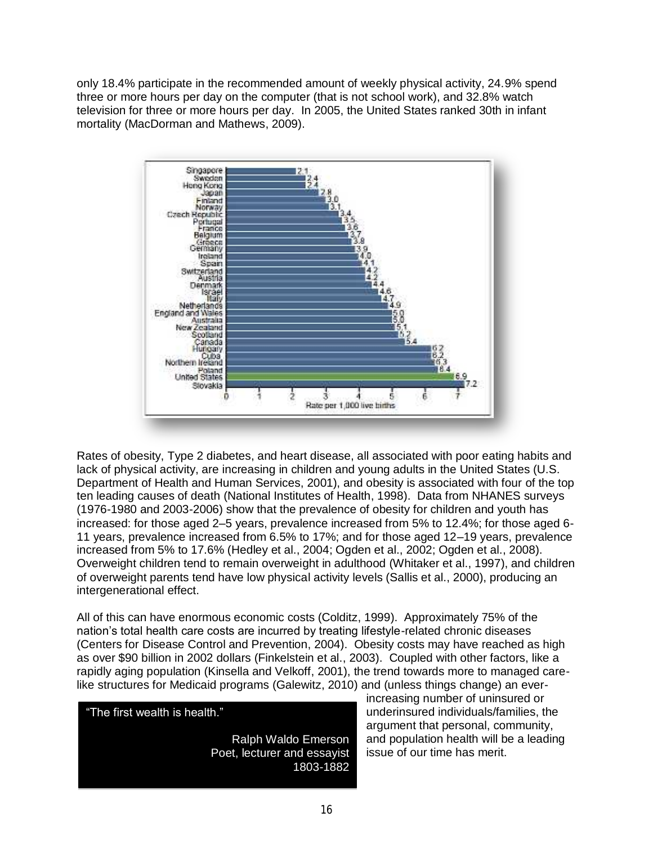only 18.4% participate in the recommended amount of weekly physical activity, 24.9% spend three or more hours per day on the computer (that is not school work), and 32.8% watch television for three or more hours per day. In 2005, the United States ranked 30th in infant mortality (MacDorman and Mathews, 2009).



Rates of obesity, Type 2 diabetes, and heart disease, all associated with poor eating habits and lack of physical activity, are increasing in children and young adults in the United States (U.S. Department of Health and Human Services, 2001), and obesity is associated with four of the top ten leading causes of death (National Institutes of Health, 1998). Data from NHANES surveys (1976-1980 and 2003-2006) show that the prevalence of obesity for children and youth has increased: for those aged 2–5 years, prevalence increased from 5% to 12.4%; for those aged 6- 11 years, prevalence increased from 6.5% to 17%; and for those aged 12–19 years, prevalence increased from 5% to 17.6% (Hedley et al., 2004; Ogden et al., 2002; Ogden et al., 2008). Overweight children tend to remain overweight in adulthood (Whitaker et al., 1997), and children of overweight parents tend have low physical activity levels (Sallis et al., 2000), producing an intergenerational effect.

All of this can have enormous economic costs (Colditz, 1999). Approximately 75% of the nation's total health care costs are incurred by treating lifestyle-related chronic diseases (Centers for Disease Control and Prevention, 2004). Obesity costs may have reached as high as over \$90 billion in 2002 dollars (Finkelstein et al., 2003). Coupled with other factors, like a rapidly aging population (Kinsella and Velkoff, 2001), the trend towards more to managed carelike structures for Medicaid programs (Galewitz, 2010) and (unless things change) an ever-

"The first wealth is health."

Ralph Waldo Emerson Poet, lecturer and essayist 1803-1882

increasing number of uninsured or underinsured individuals/families, the argument that personal, community, and population health will be a leading issue of our time has merit.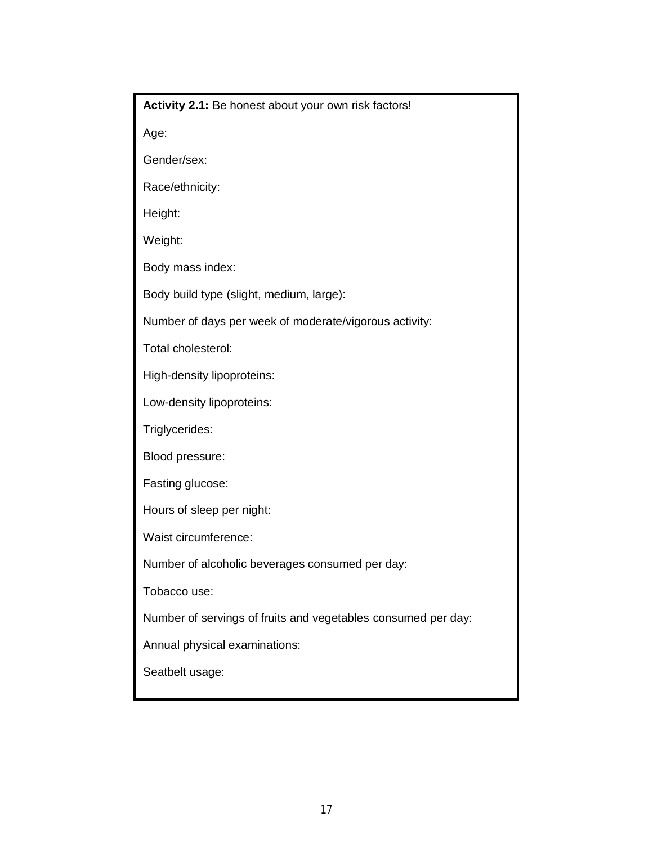**Activity 2.1:** Be honest about your own risk factors!

Age:

Gender/sex:

Race/ethnicity:

Height:

Weight:

Body mass index:

Body build type (slight, medium, large):

Number of days per week of moderate/vigorous activity:

Total cholesterol:

High-density lipoproteins:

Low-density lipoproteins:

Triglycerides:

Blood pressure:

Fasting glucose:

Hours of sleep per night:

Waist circumference:

Number of alcoholic beverages consumed per day:

Tobacco use:

Number of servings of fruits and vegetables consumed per day:

Annual physical examinations:

Seatbelt usage: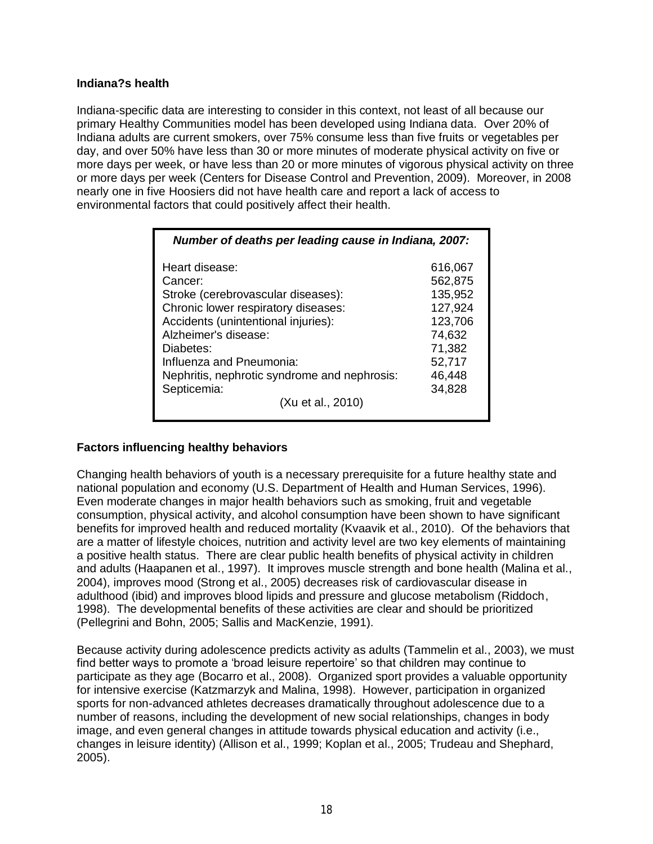## **Indiana?s health**

Indiana-specific data are interesting to consider in this context, not least of all because our primary Healthy Communities model has been developed using Indiana data. Over 20% of Indiana adults are current smokers, over 75% consume less than five fruits or vegetables per day, and over 50% have less than 30 or more minutes of moderate physical activity on five or more days per week, or have less than 20 or more minutes of vigorous physical activity on three or more days per week (Centers for Disease Control and Prevention, 2009). Moreover, in 2008 nearly one in five Hoosiers did not have health care and report a lack of access to environmental factors that could positively affect their health.

| Number of deaths per leading cause in Indiana, 2007:                                                                                                                                                                                                                                               |                                                                                                       |
|----------------------------------------------------------------------------------------------------------------------------------------------------------------------------------------------------------------------------------------------------------------------------------------------------|-------------------------------------------------------------------------------------------------------|
| Heart disease:<br>Cancer:<br>Stroke (cerebrovascular diseases):<br>Chronic lower respiratory diseases:<br>Accidents (unintentional injuries):<br>Alzheimer's disease:<br>Diabetes:<br>Influenza and Pneumonia:<br>Nephritis, nephrotic syndrome and nephrosis:<br>Septicemia:<br>(Xu et al., 2010) | 616,067<br>562,875<br>135,952<br>127,924<br>123,706<br>74,632<br>71,382<br>52,717<br>46,448<br>34,828 |
|                                                                                                                                                                                                                                                                                                    |                                                                                                       |

## **Factors influencing healthy behaviors**

Changing health behaviors of youth is a necessary prerequisite for a future healthy state and national population and economy (U.S. Department of Health and Human Services, 1996). Even moderate changes in major health behaviors such as smoking, fruit and vegetable consumption, physical activity, and alcohol consumption have been shown to have significant benefits for improved health and reduced mortality (Kvaavik et al., 2010). Of the behaviors that are a matter of lifestyle choices, nutrition and activity level are two key elements of maintaining a positive health status. There are clear public health benefits of physical activity in children and adults (Haapanen et al., 1997). It improves muscle strength and bone health (Malina et al., 2004), improves mood (Strong et al., 2005) decreases risk of cardiovascular disease in adulthood (ibid) and improves blood lipids and pressure and glucose metabolism (Riddoch, 1998). The developmental benefits of these activities are clear and should be prioritized (Pellegrini and Bohn, 2005; Sallis and MacKenzie, 1991).

Because activity during adolescence predicts activity as adults (Tammelin et al., 2003), we must find better ways to promote a 'broad leisure repertoire' so that children may continue to participate as they age (Bocarro et al., 2008). Organized sport provides a valuable opportunity for intensive exercise (Katzmarzyk and Malina, 1998). However, participation in organized sports for non-advanced athletes decreases dramatically throughout adolescence due to a number of reasons, including the development of new social relationships, changes in body image, and even general changes in attitude towards physical education and activity (i.e., changes in leisure identity) (Allison et al., 1999; Koplan et al., 2005; Trudeau and Shephard, 2005).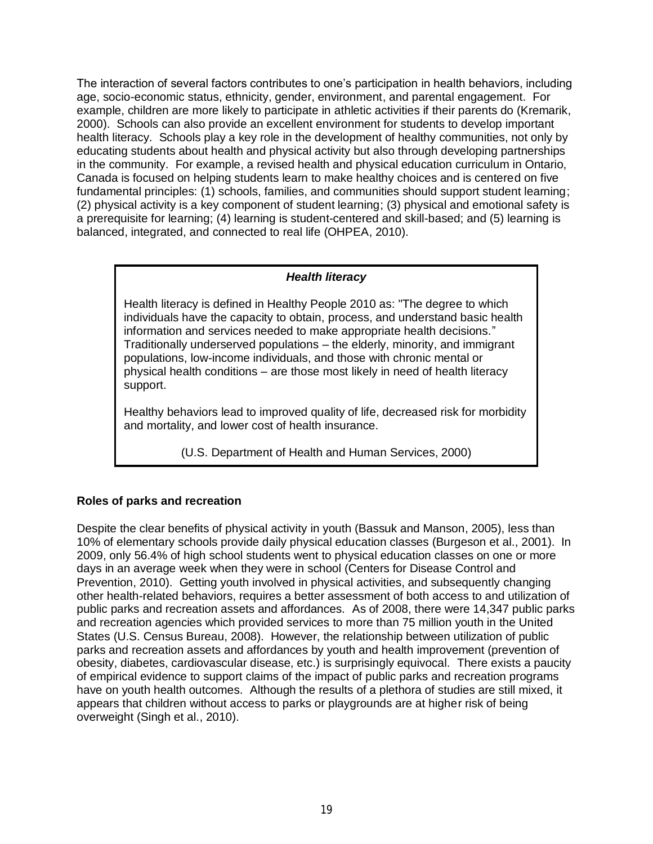The interaction of several factors contributes to one's participation in health behaviors, including age, socio-economic status, ethnicity, gender, environment, and parental engagement. For example, children are more likely to participate in athletic activities if their parents do (Kremarik, 2000). Schools can also provide an excellent environment for students to develop important health literacy. Schools play a key role in the development of healthy communities, not only by educating students about health and physical activity but also through developing partnerships in the community. For example, a revised health and physical education curriculum in Ontario, Canada is focused on helping students learn to make healthy choices and is centered on five fundamental principles: (1) schools, families, and communities should support student learning; (2) physical activity is a key component of student learning; (3) physical and emotional safety is a prerequisite for learning; (4) learning is student-centered and skill-based; and (5) learning is balanced, integrated, and connected to real life (OHPEA, 2010).

## *Health literacy*

Health literacy is defined in Healthy People 2010 as: "The degree to which individuals have the capacity to obtain, process, and understand basic health information and services needed to make appropriate health decisions." Traditionally underserved populations – the elderly, minority, and immigrant populations, low-income individuals, and those with chronic mental or physical health conditions – are those most likely in need of health literacy support.

Healthy behaviors lead to improved quality of life, decreased risk for morbidity and mortality, and lower cost of health insurance.

(U.S. Department of Health and Human Services, 2000)

## **Roles of parks and recreation**

Despite the clear benefits of physical activity in youth (Bassuk and Manson, 2005), less than 10% of elementary schools provide daily physical education classes (Burgeson et al., 2001). In 2009, only 56.4% of high school students went to physical education classes on one or more days in an average week when they were in school (Centers for Disease Control and Prevention, 2010). Getting youth involved in physical activities, and subsequently changing other health-related behaviors, requires a better assessment of both access to and utilization of public parks and recreation assets and affordances. As of 2008, there were 14,347 public parks and recreation agencies which provided services to more than 75 million youth in the United States (U.S. Census Bureau, 2008). However, the relationship between utilization of public parks and recreation assets and affordances by youth and health improvement (prevention of obesity, diabetes, cardiovascular disease, etc.) is surprisingly equivocal. There exists a paucity of empirical evidence to support claims of the impact of public parks and recreation programs have on youth health outcomes. Although the results of a plethora of studies are still mixed, it appears that children without access to parks or playgrounds are at higher risk of being overweight (Singh et al., 2010).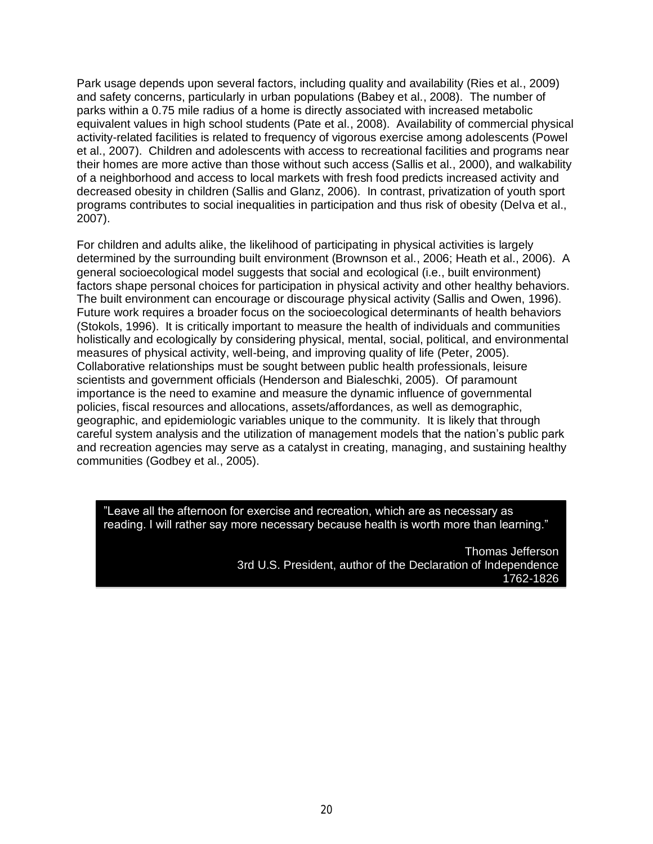Park usage depends upon several factors, including quality and availability (Ries et al., 2009) and safety concerns, particularly in urban populations (Babey et al., 2008). The number of parks within a 0.75 mile radius of a home is directly associated with increased metabolic equivalent values in high school students (Pate et al., 2008). Availability of commercial physical activity-related facilities is related to frequency of vigorous exercise among adolescents (Powel et al., 2007). Children and adolescents with access to recreational facilities and programs near their homes are more active than those without such access (Sallis et al., 2000), and walkability of a neighborhood and access to local markets with fresh food predicts increased activity and decreased obesity in children (Sallis and Glanz, 2006). In contrast, privatization of youth sport programs contributes to social inequalities in participation and thus risk of obesity (Delva et al., 2007).

For children and adults alike, the likelihood of participating in physical activities is largely determined by the surrounding built environment (Brownson et al., 2006; Heath et al., 2006). A general socioecological model suggests that social and ecological (i.e., built environment) factors shape personal choices for participation in physical activity and other healthy behaviors. The built environment can encourage or discourage physical activity (Sallis and Owen, 1996). Future work requires a broader focus on the socioecological determinants of health behaviors (Stokols, 1996). It is critically important to measure the health of individuals and communities holistically and ecologically by considering physical, mental, social, political, and environmental measures of physical activity, well-being, and improving quality of life (Peter, 2005). Collaborative relationships must be sought between public health professionals, leisure scientists and government officials (Henderson and Bialeschki, 2005). Of paramount importance is the need to examine and measure the dynamic influence of governmental policies, fiscal resources and allocations, assets/affordances, as well as demographic, geographic, and epidemiologic variables unique to the community. It is likely that through careful system analysis and the utilization of management models that the nation's public park and recreation agencies may serve as a catalyst in creating, managing, and sustaining healthy communities (Godbey et al., 2005).

‖Leave all the afternoon for exercise and recreation, which are as necessary as reading. I will rather say more necessary because health is worth more than learning."

> Thomas Jefferson 3rd U.S. President, author of the Declaration of Independence 1762-1826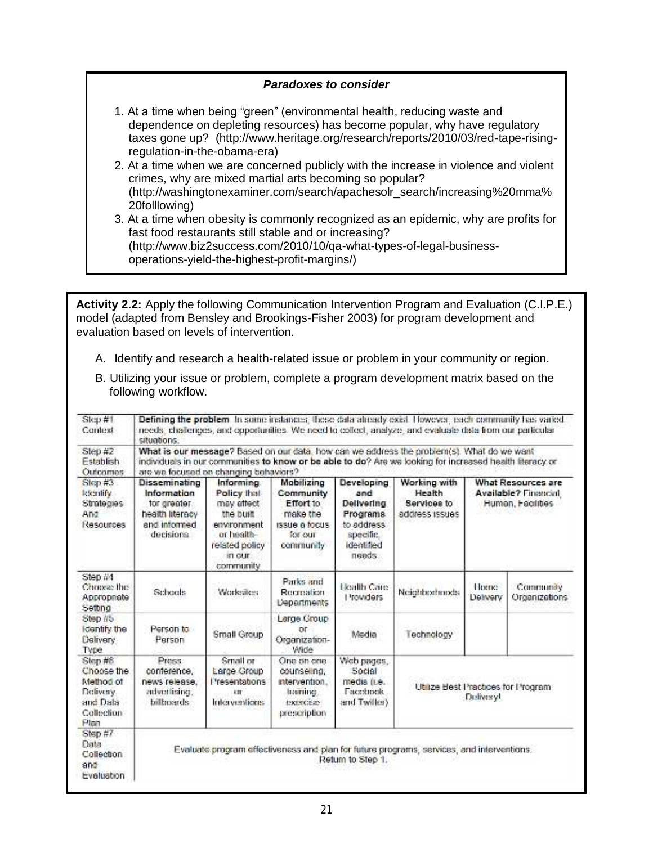#### *Paradoxes to consider*

- 1. At a time when being "green" (environmental health, reducing waste and dependence on depleting resources) has become popular, why have regulatory taxes gone up? (http://www.heritage.org/research/reports/2010/03/red-tape-risingregulation-in-the-obama-era)
- 2. At a time when we are concerned publicly with the increase in violence and violent crimes, why are mixed martial arts becoming so popular? (http://washingtonexaminer.com/search/apachesolr\_search/increasing%20mma% 20folllowing)
- 3. At a time when obesity is commonly recognized as an epidemic, why are profits for fast food restaurants still stable and or increasing? (http://www.biz2success.com/2010/10/qa-what-types-of-legal-businessoperations-yield-the-highest-profit-margins/)

**Activity 2.2:** Apply the following Communication Intervention Program and Evaluation (C.I.P.E.) model (adapted from Bensley and Brookings-Fisher 2003) for program development and evaluation based on levels of intervention.

A. Identify and research a health-related issue or problem in your community or region.

|                     | B. Utilizing your issue or problem, complete a program development matrix based on the |
|---------------------|----------------------------------------------------------------------------------------|
| following workflow. |                                                                                        |

| Step #1<br>Context                                                                | situations.                                                                                                                                                                                                                                     |                                                                                                                            |                                                                                                      |                                                                                                       | Defining the problem In some instances; these data already exist. However, each community has varied.<br>needs, challenges, and opportunities. We need to collect, analyze, and evaluate data from our particular |                                                                 |                            |  |
|-----------------------------------------------------------------------------------|-------------------------------------------------------------------------------------------------------------------------------------------------------------------------------------------------------------------------------------------------|----------------------------------------------------------------------------------------------------------------------------|------------------------------------------------------------------------------------------------------|-------------------------------------------------------------------------------------------------------|-------------------------------------------------------------------------------------------------------------------------------------------------------------------------------------------------------------------|-----------------------------------------------------------------|----------------------------|--|
| Step $#2$<br>Establish<br><b>Outcomes</b>                                         | What is our message? Based on our data, how can we address the problem(s). What do we want<br>individuals in our communities to know or be able to do? Are we looking for increased health literacy or<br>are we focused on changing behaviors? |                                                                                                                            |                                                                                                      |                                                                                                       |                                                                                                                                                                                                                   |                                                                 |                            |  |
| Step $#3$<br>ktentify.<br>Strategies<br>And<br>Resources                          | Disseminating<br>Information<br>for greater.<br>health literacy<br>and informed<br>decisions.                                                                                                                                                   | Informing.<br>Policy that<br>may affect<br>the built<br>environment<br>or health-<br>related policy<br>in our<br>community | Mobilizing<br>Community<br>Effort to<br>make the<br><b>ISSUE &amp; focus</b><br>for our<br>community | Developing<br>and<br>Delivering<br><b>Programs</b><br>to address<br>specific.<br>identified<br>needs. | Working with<br>Health<br>Services to<br>address issues                                                                                                                                                           | What Resources are<br>Available? Financial<br>Human, Facilities |                            |  |
| Step #4<br>Choose the<br>Appropriate<br>Setting                                   | Schools                                                                                                                                                                                                                                         | Worksätes:                                                                                                                 | Parks and<br>Recreation<br><b>Departments</b>                                                        | Health Care<br>l'rowiders                                                                             | Neighborhoods                                                                                                                                                                                                     | Horrico<br>Delivery                                             | Саттиліку<br>Organizations |  |
| Step #5<br>identify the<br>Delivery<br>Type                                       | Person to<br>Person                                                                                                                                                                                                                             | Small Group                                                                                                                | Large Group<br>or<br>Organization-<br>Wide                                                           | Media                                                                                                 | Technology                                                                                                                                                                                                        |                                                                 |                            |  |
| Step #6<br>Choose the<br>Method of<br>Delivery.<br>and Data<br>Collection<br>Plan | Press.<br>conference.<br>news release.<br>advertising.<br>billioards.                                                                                                                                                                           | Small or<br>Large Group<br>l'resentations<br>uг<br>Interventions                                                           | One on one<br>counseling,<br>intervention.<br>training.<br><b>ISKINGERY</b><br>prescription          | Web pages,<br>Social<br>media (i.e.<br><b>Facebook</b><br>and Twiller).                               | Utilize Best Practices for Program:<br>Deliveryl                                                                                                                                                                  |                                                                 |                            |  |
| Step #7<br>Data<br>Collection<br>and<br>Evaluation.                               |                                                                                                                                                                                                                                                 |                                                                                                                            |                                                                                                      | Return to Step 1.                                                                                     | Evaluate program effectiveness and plan for future programs, services, and interventions.                                                                                                                         |                                                                 |                            |  |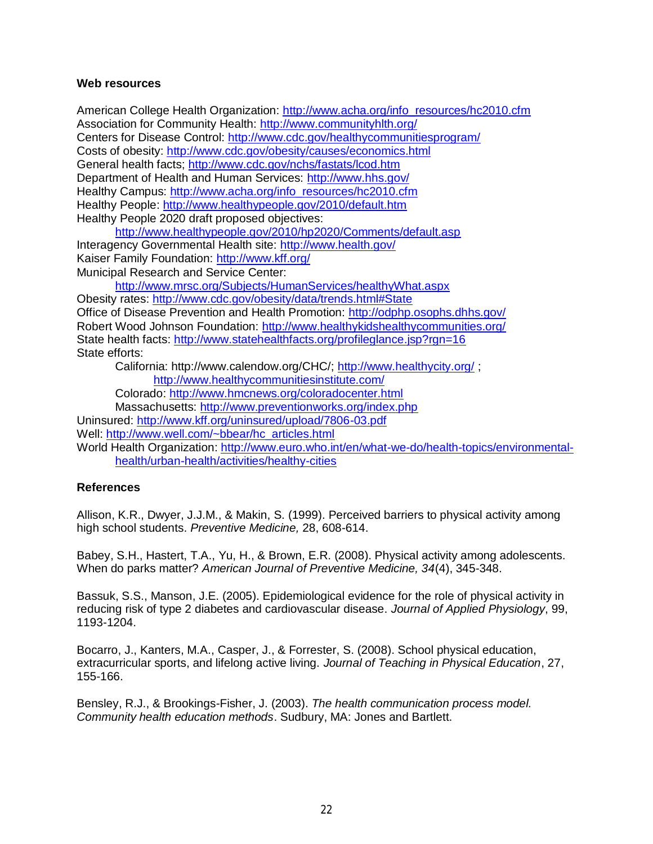#### **Web resources**

American College Health Organization: [http://www.acha.org/info\\_resources/hc2010.cfm](http://www.acha.org/info_resources/hc2010.cfm) Association for Community Health:<http://www.communityhlth.org/> Centers for Disease Control:<http://www.cdc.gov/healthycommunitiesprogram/> Costs of obesity:<http://www.cdc.gov/obesity/causes/economics.html> General health facts;<http://www.cdc.gov/nchs/fastats/lcod.htm> Department of Health and Human Services:<http://www.hhs.gov/> Healthy Campus: [http://www.acha.org/info\\_resources/hc2010.cfm](http://www.acha.org/info_resources/hc2010.cfm) Healthy People:<http://www.healthypeople.gov/2010/default.htm> Healthy People 2020 draft proposed objectives:

<http://www.healthypeople.gov/2010/hp2020/Comments/default.asp> Interagency Governmental Health site:<http://www.health.gov/> Kaiser Family Foundation:<http://www.kff.org/> Municipal Research and Service Center:

<http://www.mrsc.org/Subjects/HumanServices/healthyWhat.aspx> Obesity rates:<http://www.cdc.gov/obesity/data/trends.html#State> Office of Disease Prevention and Health Promotion:<http://odphp.osophs.dhhs.gov/> Robert Wood Johnson Foundation:<http://www.healthykidshealthycommunities.org/> State health facts:<http://www.statehealthfacts.org/profileglance.jsp?rgn=16> State efforts:

California: http://www.calendow.org/CHC/;<http://www.healthycity.org/> ;

<http://www.healthycommunitiesinstitute.com/>

Colorado:<http://www.hmcnews.org/coloradocenter.html>

Massachusetts:<http://www.preventionworks.org/index.php>

Uninsured:<http://www.kff.org/uninsured/upload/7806-03.pdf> Well: [http://www.well.com/~bbear/hc\\_articles.html](http://www.well.com/~bbear/hc_articles.html)

World Health Organization: [http://www.euro.who.int/en/what-we-do/health-topics/environmental](http://www.euro.who.int/en/what-we-do/health-topics/environmental-health/urban-health/activities/healthy-cities)[health/urban-health/activities/healthy-cities](http://www.euro.who.int/en/what-we-do/health-topics/environmental-health/urban-health/activities/healthy-cities)

## **References**

Allison, K.R., Dwyer, J.J.M., & Makin, S. (1999). Perceived barriers to physical activity among high school students. *Preventive Medicine,* 28, 608-614.

Babey, S.H., Hastert, T.A., Yu, H., & Brown, E.R. (2008). Physical activity among adolescents. When do parks matter? *American Journal of Preventive Medicine, 34*(4), 345-348.

Bassuk, S.S., Manson, J.E. (2005). Epidemiological evidence for the role of physical activity in reducing risk of type 2 diabetes and cardiovascular disease. *Journal of Applied Physiology*, 99, 1193-1204.

Bocarro, J., Kanters, M.A., Casper, J., & Forrester, S. (2008). School physical education, extracurricular sports, and lifelong active living. *Journal of Teaching in Physical Education*, 27, 155-166.

Bensley, R.J., & Brookings-Fisher, J. (2003). *The health communication process model. Community health education methods*. Sudbury, MA: Jones and Bartlett.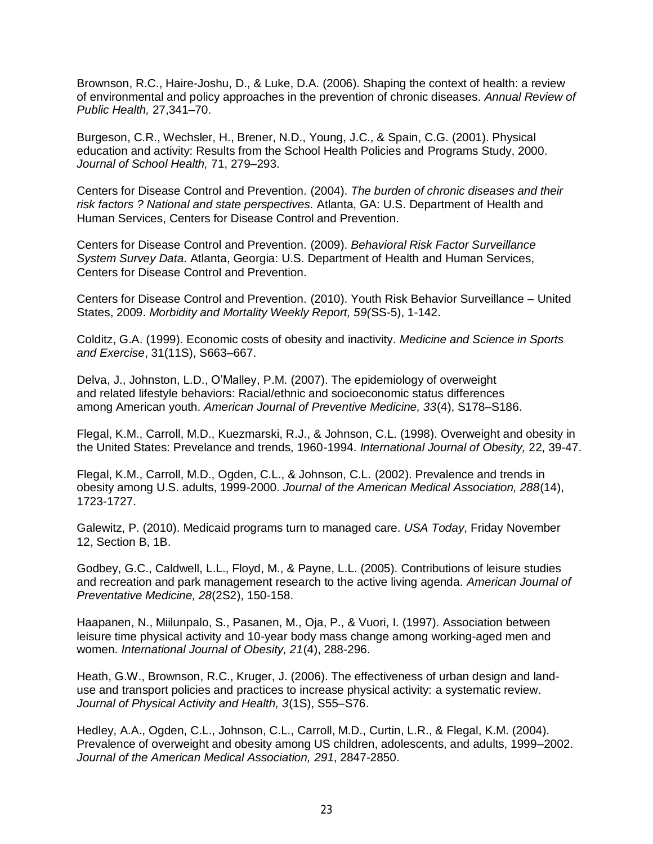Brownson, R.C., Haire-Joshu, D., & Luke, D.A. (2006). Shaping the context of health: a review of environmental and policy approaches in the prevention of chronic diseases. *Annual Review of Public Health,* 27,341–70.

Burgeson, C.R., Wechsler, H., Brener, N.D., Young, J.C., & Spain, C.G. (2001). Physical education and activity: Results from the School Health Policies and Programs Study, 2000. *Journal of School Health,* 71, 279–293.

Centers for Disease Control and Prevention. (2004). *The burden of chronic diseases and their risk factors ? National and state perspectives.* Atlanta, GA: U.S. Department of Health and Human Services, Centers for Disease Control and Prevention.

Centers for Disease Control and Prevention. (2009). *Behavioral Risk Factor Surveillance System Survey Data*. Atlanta, Georgia: U.S. Department of Health and Human Services, Centers for Disease Control and Prevention.

Centers for Disease Control and Prevention. (2010). Youth Risk Behavior Surveillance – United States, 2009. *Morbidity and Mortality Weekly Report, 59(*SS-5), 1-142.

Colditz, G.A. (1999). Economic costs of obesity and inactivity. *Medicine and Science in Sports and Exercise*, 31(11S), S663–667.

Delva, J., Johnston, L.D., O'Malley, P.M. (2007). The epidemiology of overweight and related lifestyle behaviors: Racial/ethnic and socioeconomic status differences among American youth. *American Journal of Preventive Medicine, 33*(4), S178–S186.

Flegal, K.M., Carroll, M.D., Kuezmarski, R.J., & Johnson, C.L. (1998). Overweight and obesity in the United States: Prevelance and trends, 1960-1994. *International Journal of Obesity,* 22, 39-47.

Flegal, K.M., Carroll, M.D., Ogden, C.L., & Johnson, C.L. (2002). Prevalence and trends in obesity among U.S. adults, 1999-2000. *Journal of the American Medical Association, 288*(14), 1723-1727.

Galewitz, P. (2010). Medicaid programs turn to managed care. *USA Today*, Friday November 12, Section B, 1B.

Godbey, G.C., Caldwell, L.L., Floyd, M., & Payne, L.L. (2005). Contributions of leisure studies and recreation and park management research to the active living agenda. *American Journal of Preventative Medicine, 28*(2S2), 150-158.

Haapanen, N., Miilunpalo, S., Pasanen, M., Oja, P., & Vuori, I. (1997). Association between leisure time physical activity and 10-year body mass change among working-aged men and women. *International Journal of Obesity, 21*(4), 288-296.

Heath, G.W., Brownson, R.C., Kruger, J. (2006). The effectiveness of urban design and landuse and transport policies and practices to increase physical activity: a systematic review. *Journal of Physical Activity and Health, 3*(1S), S55–S76.

Hedley, A.A., Ogden, C.L., Johnson, C.L., Carroll, M.D., Curtin, L.R., & Flegal, K.M. (2004). Prevalence of overweight and obesity among US children, adolescents, and adults, 1999–2002. *Journal of the American Medical Association, 291*, 2847-2850.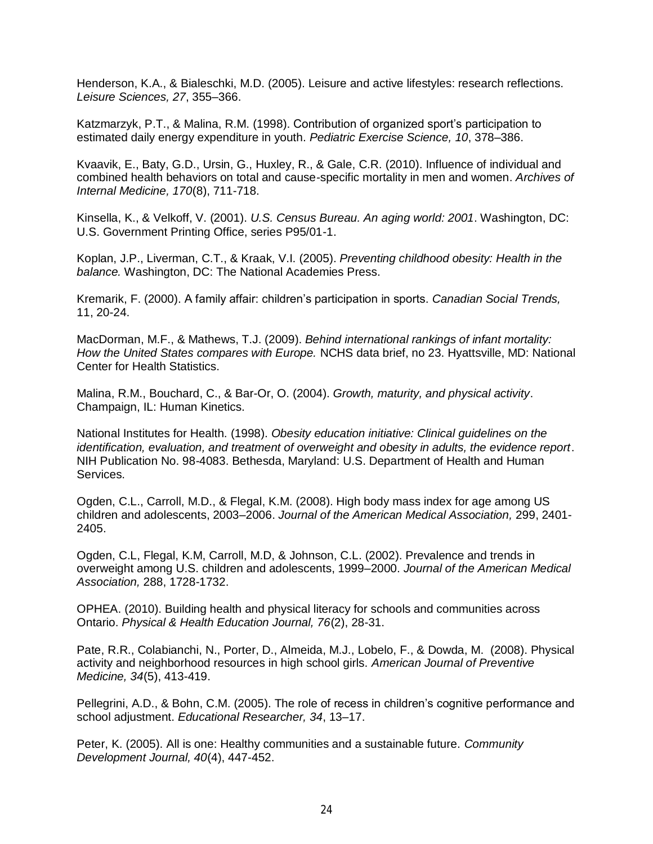Henderson, K.A., & Bialeschki, M.D. (2005). Leisure and active lifestyles: research reflections. *Leisure Sciences, 27*, 355–366.

Katzmarzyk, P.T., & Malina, R.M. (1998). Contribution of organized sport's participation to estimated daily energy expenditure in youth. *Pediatric Exercise Science, 10*, 378–386.

Kvaavik, E., Baty, G.D., Ursin, G., Huxley, R., & Gale, C.R. (2010). Influence of individual and combined health behaviors on total and cause-specific mortality in men and women. *Archives of Internal Medicine, 170*(8), 711-718.

Kinsella, K., & Velkoff, V. (2001). *U.S. Census Bureau. An aging world: 2001*. Washington, DC: U.S. Government Printing Office, series P95/01-1.

Koplan, J.P., Liverman, C.T., & Kraak, V.I. (2005). *Preventing childhood obesity: Health in the balance.* Washington, DC: The National Academies Press.

Kremarik, F. (2000). A family affair: children's participation in sports. *Canadian Social Trends,* 11, 20-24.

MacDorman, M.F., & Mathews, T.J. (2009). *Behind international rankings of infant mortality: How the United States compares with Europe.* NCHS data brief, no 23. Hyattsville, MD: National Center for Health Statistics.

Malina, R.M., Bouchard, C., & Bar-Or, O. (2004). *Growth, maturity, and physical activity*. Champaign, IL: Human Kinetics.

National Institutes for Health. (1998). *Obesity education initiative: Clinical guidelines on the identification, evaluation, and treatment of overweight and obesity in adults, the evidence report*. NIH Publication No. 98-4083. Bethesda, Maryland: U.S. Department of Health and Human Services.

Ogden, C.L., Carroll, M.D., & Flegal, K.M. (2008). High body mass index for age among US children and adolescents, 2003–2006. *Journal of the American Medical Association,* 299, 2401- 2405.

Ogden, C.L, Flegal, K.M, Carroll, M.D, & Johnson, C.L. (2002). Prevalence and trends in overweight among U.S. children and adolescents, 1999–2000. *Journal of the American Medical Association,* 288, 1728-1732.

OPHEA. (2010). Building health and physical literacy for schools and communities across Ontario. *Physical & Health Education Journal, 76*(2), 28-31.

Pate, R.R., Colabianchi, N., Porter, D., Almeida, M.J., Lobelo, F., & Dowda, M. (2008). Physical activity and neighborhood resources in high school girls. *American Journal of Preventive Medicine, 34*(5), 413-419.

Pellegrini, A.D., & Bohn, C.M. (2005). The role of recess in children's cognitive performance and school adjustment. *Educational Researcher, 34*, 13–17.

Peter, K. (2005). All is one: Healthy communities and a sustainable future. *Community Development Journal, 40*(4), 447-452.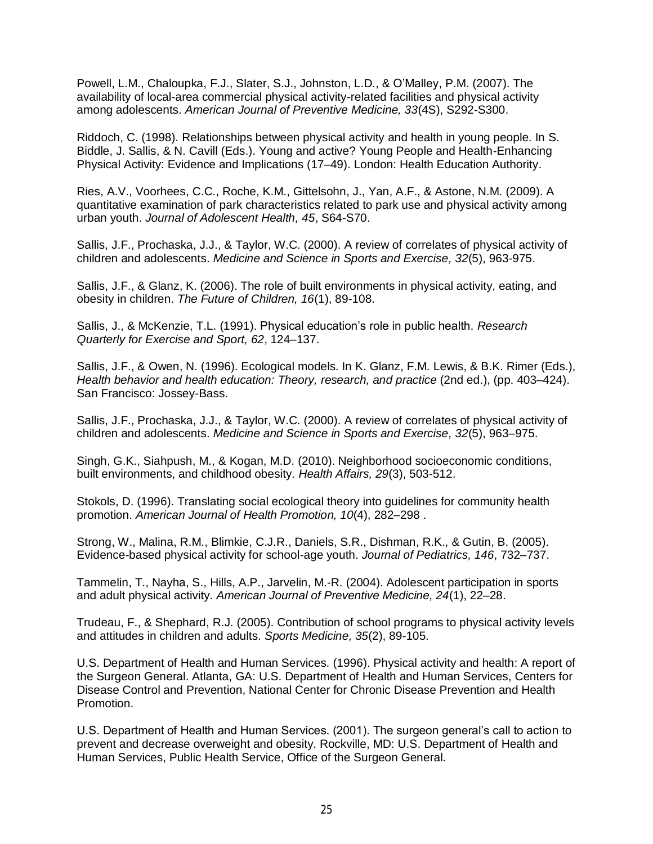Powell, L.M., Chaloupka, F.J., Slater, S.J., Johnston, L.D., & O'Malley, P.M. (2007). The availability of local-area commercial physical activity-related facilities and physical activity among adolescents. *American Journal of Preventive Medicine, 33*(4S), S292-S300.

Riddoch, C. (1998). Relationships between physical activity and health in young people. In S. Biddle, J. Sallis, & N. Cavill (Eds.). Young and active? Young People and Health-Enhancing Physical Activity: Evidence and Implications (17–49). London: Health Education Authority.

Ries, A.V., Voorhees, C.C., Roche, K.M., Gittelsohn, J., Yan, A.F., & Astone, N.M. (2009). A quantitative examination of park characteristics related to park use and physical activity among urban youth. *Journal of Adolescent Health, 45*, S64-S70.

Sallis, J.F., Prochaska, J.J., & Taylor, W.C. (2000). A review of correlates of physical activity of children and adolescents. *Medicine and Science in Sports and Exercise, 32*(5), 963-975.

Sallis, J.F., & Glanz, K. (2006). The role of built environments in physical activity, eating, and obesity in children. *The Future of Children, 16*(1), 89-108.

Sallis, J., & McKenzie, T.L. (1991). Physical education's role in public health. *Research Quarterly for Exercise and Sport, 62*, 124–137.

Sallis, J.F., & Owen, N. (1996). Ecological models. In K. Glanz, F.M. Lewis, & B.K. Rimer (Eds.), *Health behavior and health education: Theory, research, and practice* (2nd ed.), (pp. 403–424). San Francisco: Jossey-Bass.

Sallis, J.F., Prochaska, J.J., & Taylor, W.C. (2000). A review of correlates of physical activity of children and adolescents. *Medicine and Science in Sports and Exercise, 32*(5), 963–975.

Singh, G.K., Siahpush, M., & Kogan, M.D. (2010). Neighborhood socioeconomic conditions, built environments, and childhood obesity. *Health Affairs, 29*(3), 503-512.

Stokols, D. (1996). Translating social ecological theory into guidelines for community health promotion. *American Journal of Health Promotion, 10*(4), 282–298 .

Strong, W., Malina, R.M., Blimkie, C.J.R., Daniels, S.R., Dishman, R.K., & Gutin, B. (2005). Evidence-based physical activity for school-age youth. *Journal of Pediatrics, 146*, 732–737.

Tammelin, T., Nayha, S., Hills, A.P., Jarvelin, M.-R. (2004). Adolescent participation in sports and adult physical activity. *American Journal of Preventive Medicine, 24*(1), 22–28.

Trudeau, F., & Shephard, R.J. (2005). Contribution of school programs to physical activity levels and attitudes in children and adults. *Sports Medicine, 35*(2), 89-105.

U.S. Department of Health and Human Services. (1996). Physical activity and health: A report of the Surgeon General. Atlanta, GA: U.S. Department of Health and Human Services, Centers for Disease Control and Prevention, National Center for Chronic Disease Prevention and Health Promotion.

U.S. Department of Health and Human Services. (2001). The surgeon general's call to action to prevent and decrease overweight and obesity. Rockville, MD: U.S. Department of Health and Human Services, Public Health Service, Office of the Surgeon General.